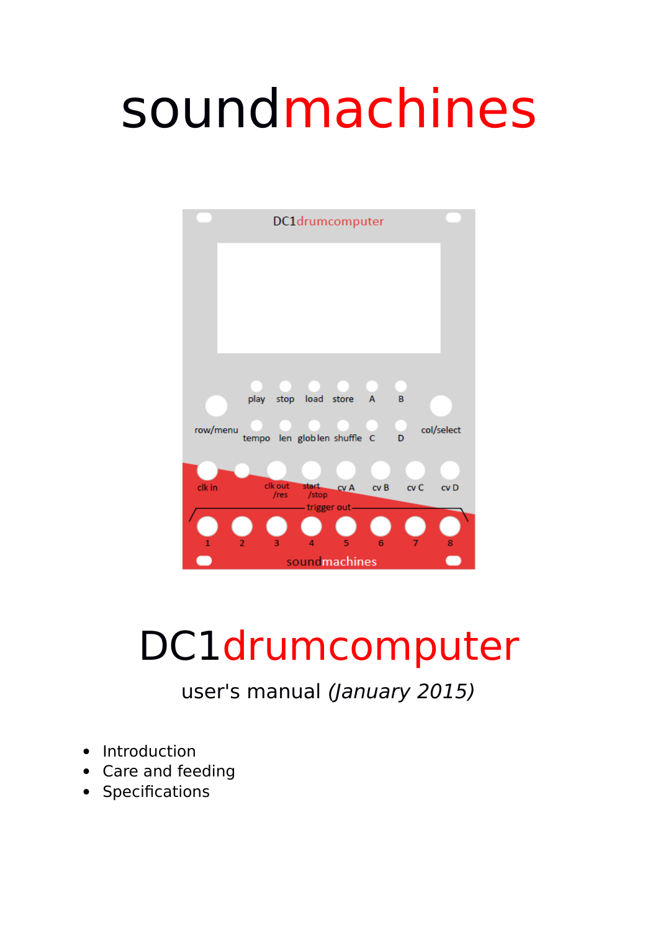# soundmachines



# DC1drumcomputer

user's manual (January 2015)

- Introduction
- Care and feeding
- Specifications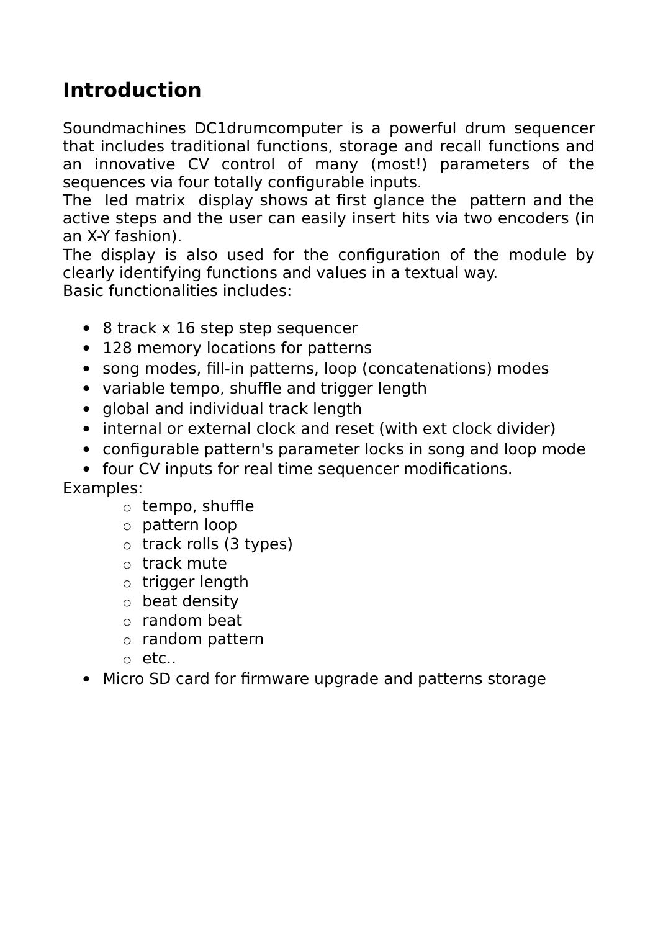# **Introduction**

Soundmachines DC1drumcomputer is a powerful drum sequencer that includes traditional functions, storage and recall functions and an innovative CV control of many (most!) parameters of the sequences via four totally configurable inputs.

The led matrix display shows at first glance the pattern and the active steps and the user can easily insert hits via two encoders (in an X-Y fashion).

The display is also used for the configuration of the module by clearly identifying functions and values in a textual way. Basic functionalities includes:

- 8 track x 16 step step sequencer
- 128 memory locations for patterns
- song modes, fill-in patterns, loop (concatenations) modes
- variable tempo, shuffle and trigger length
- global and individual track length
- internal or external clock and reset (with ext clock divider)
- configurable pattern's parameter locks in song and loop mode
- four CV inputs for real time sequencer modifications.

Examples:

- o tempo, shuffle
- o pattern loop
- o track rolls (3 types)
- o track mute
- o trigger length
- o beat density
- $\circ$  random beat
- o random pattern
- o etc..
- Micro SD card for firmware upgrade and patterns storage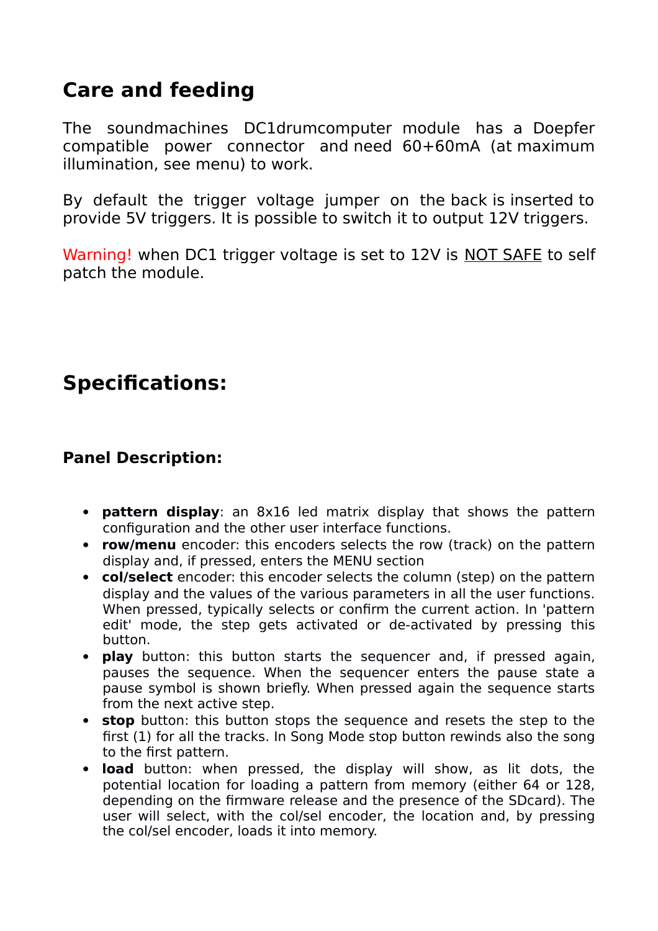## **Care and feeding**

The soundmachines DC1drumcomputer module has a Doepfer compatible power connector and need 60+60mA (at maximum illumination, see menu) to work.

By default the trigger voltage jumper on the back is inserted to provide 5V triggers. It is possible to switch it to output 12V triggers.

Warning! when DC1 trigger voltage is set to 12V is NOT SAFE to self patch the module.

# **Specifications:**

#### **Panel Description:**

- **pattern display**: an 8x16 led matrix display that shows the pattern configuration and the other user interface functions.
- **row/menu** encoder: this encoders selects the row (track) on the pattern display and, if pressed, enters the MENU section
- **col/select** encoder: this encoder selects the column (step) on the pattern display and the values of the various parameters in all the user functions. When pressed, typically selects or confirm the current action. In 'pattern edit' mode, the step gets activated or de-activated by pressing this button.
- **play** button: this button starts the sequencer and, if pressed again, pauses the sequence. When the sequencer enters the pause state a pause symbol is shown briefly. When pressed again the sequence starts from the next active step.
- **stop** button: this button stops the sequence and resets the step to the first (1) for all the tracks. In Song Mode stop button rewinds also the song to the first pattern.
- **load** button: when pressed, the display will show, as lit dots, the potential location for loading a pattern from memory (either 64 or 128, depending on the firmware release and the presence of the SDcard). The user will select, with the col/sel encoder, the location and, by pressing the col/sel encoder, loads it into memory.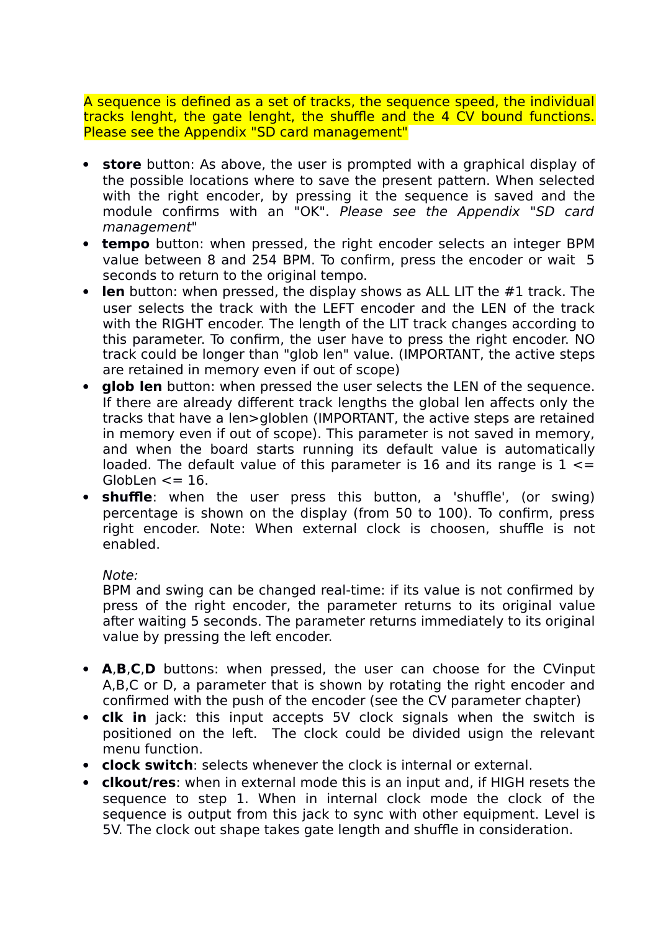A sequence is defined as a set of tracks, the sequence speed, the individual tracks lenght, the gate lenght, the shuffle and the 4 CV bound functions. Please see the Appendix "SD card management"

- **store** button: As above, the user is prompted with a graphical display of the possible locations where to save the present pattern. When selected with the right encoder, by pressing it the sequence is saved and the module confirms with an "OK". Please see the Appendix "SD card management"
- **tempo** button: when pressed, the right encoder selects an integer BPM value between 8 and 254 BPM. To confirm, press the encoder or wait 5 seconds to return to the original tempo.
- **len** button: when pressed, the display shows as ALL LIT the #1 track. The user selects the track with the LEFT encoder and the LEN of the track with the RIGHT encoder. The length of the LIT track changes according to this parameter. To confirm, the user have to press the right encoder. NO track could be longer than "glob len" value. (IMPORTANT, the active steps are retained in memory even if out of scope)
- **glob len** button: when pressed the user selects the LEN of the sequence. If there are already different track lengths the global len affects only the tracks that have a len>globlen (IMPORTANT, the active steps are retained in memory even if out of scope). This parameter is not saved in memory, and when the board starts running its default value is automatically loaded. The default value of this parameter is 16 and its range is  $1 \le$ Globlen  $\leq$  = 16.
- **shuffle**: when the user press this button, a 'shuffle', (or swing) percentage is shown on the display (from 50 to 100). To confirm, press right encoder. Note: When external clock is choosen, shuffle is not enabled.

#### Note:

BPM and swing can be changed real-time: if its value is not confirmed by press of the right encoder, the parameter returns to its original value after waiting 5 seconds. The parameter returns immediately to its original value by pressing the left encoder.

- **A**,**B**,**C**,**D** buttons: when pressed, the user can choose for the CVinput A,B,C or D, a parameter that is shown by rotating the right encoder and confirmed with the push of the encoder (see the CV parameter chapter)
- **clk in** jack: this input accepts 5V clock signals when the switch is positioned on the left. The clock could be divided usign the relevant menu function.
- **clock switch**: selects whenever the clock is internal or external.
- **clkout/res**: when in external mode this is an input and, if HIGH resets the sequence to step 1. When in internal clock mode the clock of the sequence is output from this jack to sync with other equipment. Level is 5V. The clock out shape takes gate length and shuffle in consideration.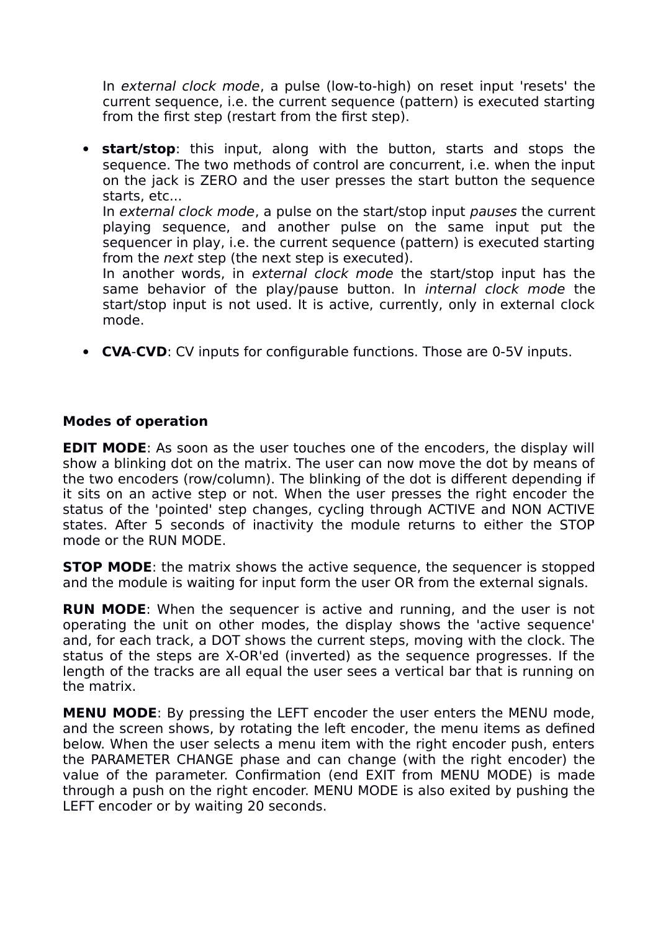In external clock mode, a pulse (low-to-high) on reset input 'resets' the current sequence, i.e. the current sequence (pattern) is executed starting from the first step (restart from the first step).

 **start/stop**: this input, along with the button, starts and stops the sequence. The two methods of control are concurrent, i.e. when the input on the jack is ZERO and the user presses the start button the sequence starts, etc...

In external clock mode, a pulse on the start/stop input pauses the current playing sequence, and another pulse on the same input put the sequencer in play, i.e. the current sequence (pattern) is executed starting from the *next* step (the next step is executed).

In another words, in external clock mode the start/stop input has the same behavior of the play/pause button. In internal clock mode the start/stop input is not used. It is active, currently, only in external clock mode.

**CVA**-**CVD**: CV inputs for configurable functions. Those are 0-5V inputs.

#### **Modes of operation**

**EDIT MODE:** As soon as the user touches one of the encoders, the display will show a blinking dot on the matrix. The user can now move the dot by means of the two encoders (row/column). The blinking of the dot is different depending if it sits on an active step or not. When the user presses the right encoder the status of the 'pointed' step changes, cycling through ACTIVE and NON ACTIVE states. After 5 seconds of inactivity the module returns to either the STOP mode or the RUN MODE.

**STOP MODE:** the matrix shows the active sequence, the sequencer is stopped and the module is waiting for input form the user OR from the external signals.

**RUN MODE**: When the sequencer is active and running, and the user is not operating the unit on other modes, the display shows the 'active sequence' and, for each track, a DOT shows the current steps, moving with the clock. The status of the steps are X-OR'ed (inverted) as the sequence progresses. If the length of the tracks are all equal the user sees a vertical bar that is running on the matrix.

**MENU MODE**: By pressing the LEFT encoder the user enters the MENU mode, and the screen shows, by rotating the left encoder, the menu items as defined below. When the user selects a menu item with the right encoder push, enters the PARAMETER CHANGE phase and can change (with the right encoder) the value of the parameter. Confirmation (end EXIT from MENU MODE) is made through a push on the right encoder. MENU MODE is also exited by pushing the LEFT encoder or by waiting 20 seconds.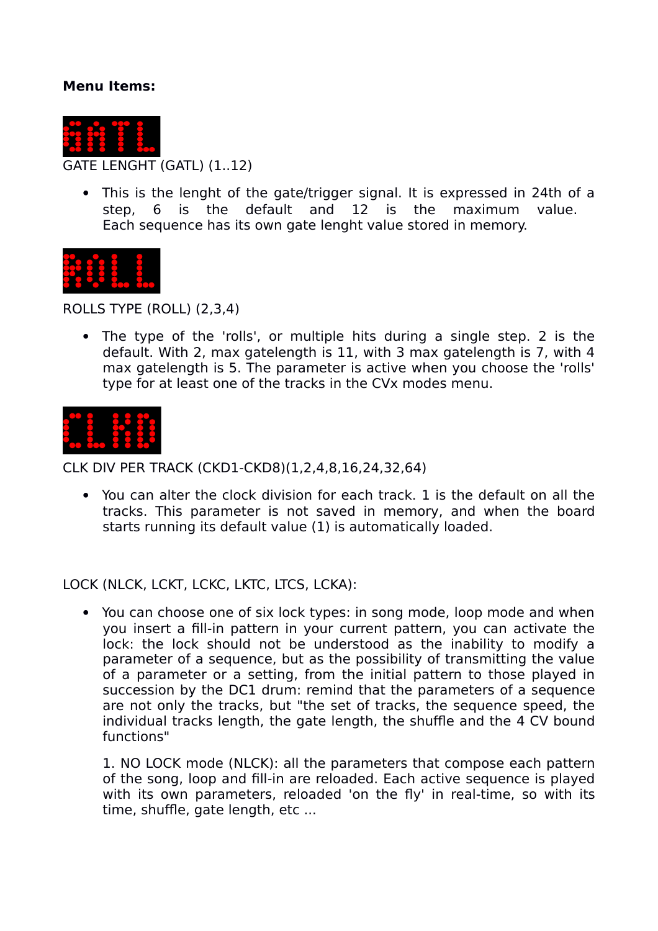#### **Menu Items:**



 This is the lenght of the gate/trigger signal. It is expressed in 24th of a step, 6 is the default and 12 is the maximum value. Each sequence has its own gate lenght value stored in memory.



ROLLS TYPE (ROLL) (2,3,4)

 The type of the 'rolls', or multiple hits during a single step. 2 is the default. With 2, max gatelength is 11, with 3 max gatelength is 7, with 4 max gatelength is 5. The parameter is active when you choose the 'rolls' type for at least one of the tracks in the CVx modes menu.



CLK DIV PER TRACK (CKD1-CKD8)(1,2,4,8,16,24,32,64)

 You can alter the clock division for each track. 1 is the default on all the tracks. This parameter is not saved in memory, and when the board starts running its default value (1) is automatically loaded.

LOCK (NLCK, LCKT, LCKC, LKTC, LTCS, LCKA):

 You can choose one of six lock types: in song mode, loop mode and when you insert a fill-in pattern in your current pattern, you can activate the lock: the lock should not be understood as the inability to modify a parameter of a sequence, but as the possibility of transmitting the value of a parameter or a setting, from the initial pattern to those played in succession by the DC1 drum: remind that the parameters of a sequence are not only the tracks, but "the set of tracks, the sequence speed, the individual tracks length, the gate length, the shuffle and the 4 CV bound functions"

1. NO LOCK mode (NLCK): all the parameters that compose each pattern of the song, loop and fill-in are reloaded. Each active sequence is played with its own parameters, reloaded 'on the fly' in real-time, so with its time, shuffle, gate length, etc ...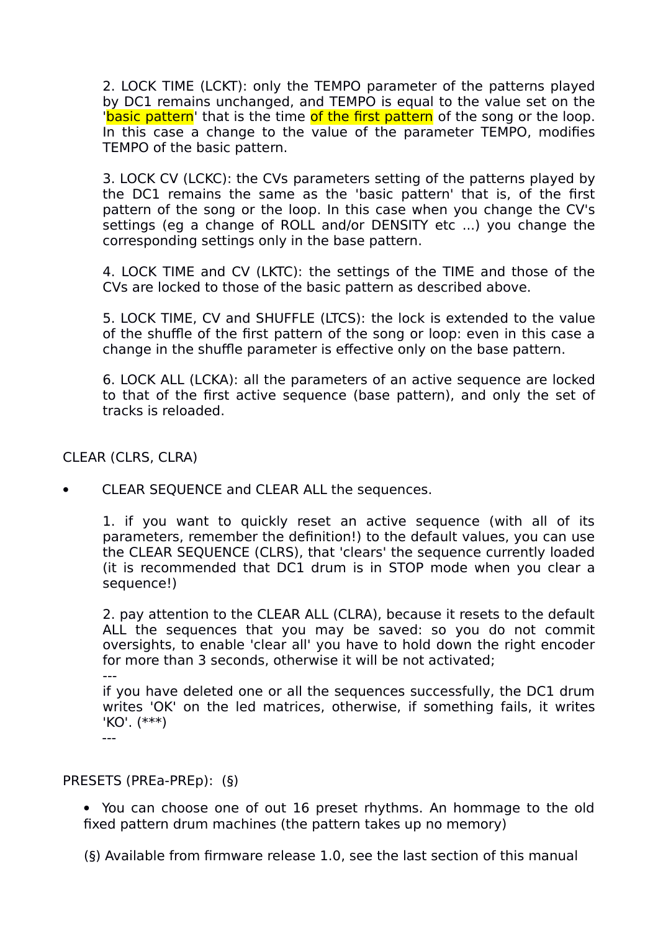2. LOCK TIME (LCKT): only the TEMPO parameter of the patterns played by DC1 remains unchanged, and TEMPO is equal to the value set on the 'basic pattern' that is the time of the first pattern of the song or the loop. In this case a change to the value of the parameter TEMPO, modifies TEMPO of the basic pattern.

3. LOCK CV (LCKC): the CVs parameters setting of the patterns played by the DC1 remains the same as the 'basic pattern' that is, of the first pattern of the song or the loop. In this case when you change the CV's settings (eg a change of ROLL and/or DENSITY etc ...) you change the corresponding settings only in the base pattern.

4. LOCK TIME and CV (LKTC): the settings of the TIME and those of the CVs are locked to those of the basic pattern as described above.

5. LOCK TIME, CV and SHUFFLE (LTCS): the lock is extended to the value of the shuffle of the first pattern of the song or loop: even in this case a change in the shuffle parameter is effective only on the base pattern.

6. LOCK ALL (LCKA): all the parameters of an active sequence are locked to that of the first active sequence (base pattern), and only the set of tracks is reloaded.

CLEAR (CLRS, CLRA)

CLEAR SEQUENCE and CLEAR ALL the sequences.

1. if you want to quickly reset an active sequence (with all of its parameters, remember the definition!) to the default values, you can use the CLEAR SEQUENCE (CLRS), that 'clears' the sequence currently loaded (it is recommended that DC1 drum is in STOP mode when you clear a sequence!)

2. pay attention to the CLEAR ALL (CLRA), because it resets to the default ALL the sequences that you may be saved: so you do not commit oversights, to enable 'clear all' you have to hold down the right encoder for more than 3 seconds, otherwise it will be not activated;

---

if you have deleted one or all the sequences successfully, the DC1 drum writes 'OK' on the led matrices, otherwise, if something fails, it writes 'KO'. (\*\*\*) ---

PRESETS (PREa-PREp): (§)

 You can choose one of out 16 preset rhythms. An hommage to the old fixed pattern drum machines (the pattern takes up no memory)

(§) Available from firmware release 1.0, see the last section of this manual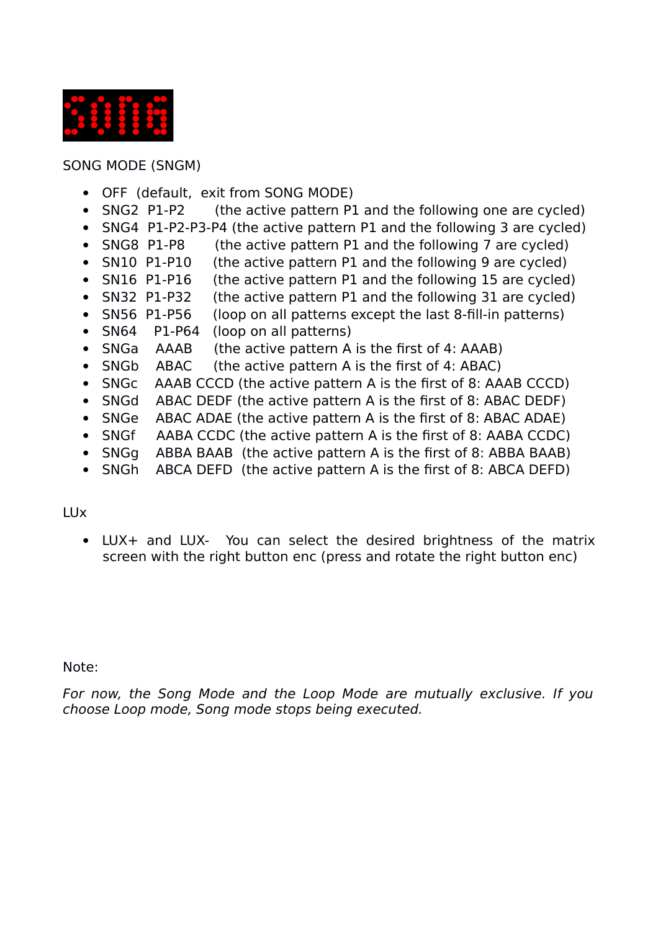

SONG MODE (SNGM)

- OFF (default, exit from SONG MODE)
- SNG2 P1-P2 (the active pattern P1 and the following one are cycled)
- SNG4 P1-P2-P3-P4 (the active pattern P1 and the following 3 are cycled)
- SNG8 P1-P8 (the active pattern P1 and the following 7 are cycled)
- SN10 P1-P10 (the active pattern P1 and the following 9 are cycled)
- SN16 P1-P16 (the active pattern P1 and the following 15 are cycled)
- SN32 P1-P32 (the active pattern P1 and the following 31 are cycled)
- SN56 P1-P56 (loop on all patterns except the last 8-fill-in patterns)
- SN64 P1-P64 (loop on all patterns)
- SNGa AAAB (the active pattern A is the first of 4: AAAB)
- SNGb ABAC (the active pattern A is the first of 4: ABAC)
- SNGc AAAB CCCD (the active pattern A is the first of 8: AAAB CCCD)
- SNGd ABAC DEDF (the active pattern A is the first of 8: ABAC DEDF)
- SNGe ABAC ADAE (the active pattern A is the first of 8: ABAC ADAE)
- SNGf AABA CCDC (the active pattern A is the first of 8: AABA CCDC)
- SNGg ABBA BAAB (the active pattern A is the first of 8: ABBA BAAB)
- SNGh ABCA DEFD (the active pattern A is the first of 8: ABCA DEFD)

#### LUx

 LUX+ and LUX- You can select the desired brightness of the matrix screen with the right button enc (press and rotate the right button enc)

#### Note:

For now, the Song Mode and the Loop Mode are mutually exclusive. If you choose Loop mode, Song mode stops being executed.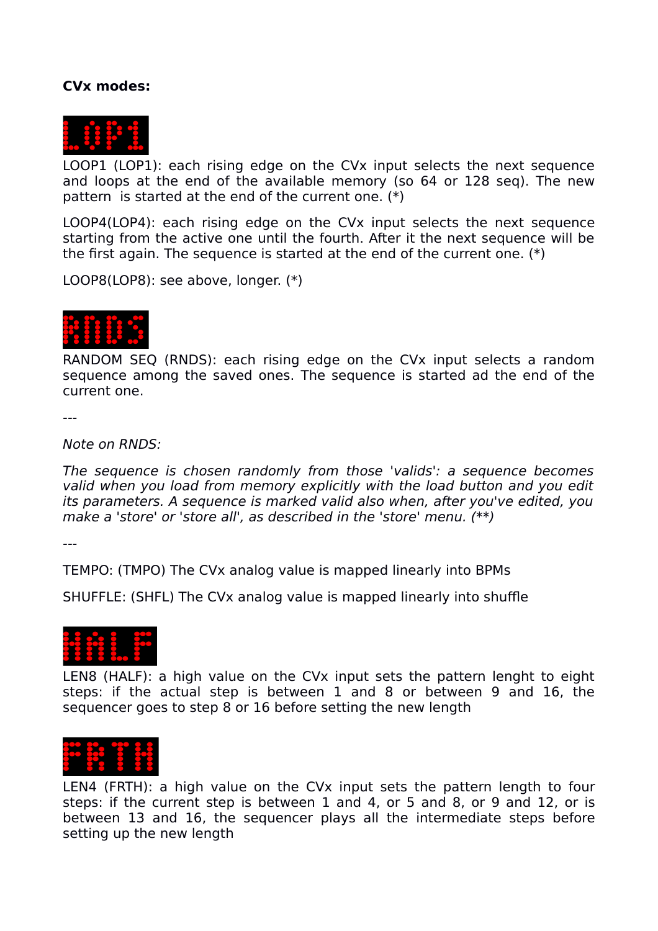#### **CVx modes:**



LOOP1 (LOP1): each rising edge on the CVx input selects the next sequence and loops at the end of the available memory (so 64 or 128 seq). The new pattern is started at the end of the current one. (\*)

LOOP4(LOP4): each rising edge on the CVx input selects the next sequence starting from the active one until the fourth. After it the next sequence will be the first again. The sequence is started at the end of the current one. (\*)

LOOP8(LOP8): see above, longer. (\*)



RANDOM SEQ (RNDS): each rising edge on the CVx input selects a random sequence among the saved ones. The sequence is started ad the end of the current one.

---

Note on RNDS:

The sequence is chosen randomly from those 'valids': a sequence becomes valid when you load from memory explicitly with the load button and you edit its parameters. A sequence is marked valid also when, after you've edited, you make a 'store' or 'store all', as described in the 'store' menu. (\*\*)

---

TEMPO: (TMPO) The CVx analog value is mapped linearly into BPMs

SHUFFLE: (SHFL) The CVx analog value is mapped linearly into shuffle



LEN8 (HALF): a high value on the CVx input sets the pattern lenght to eight steps: if the actual step is between 1 and 8 or between 9 and 16, the sequencer goes to step 8 or 16 before setting the new length



LEN4 (FRTH): a high value on the CVx input sets the pattern length to four steps: if the current step is between 1 and 4, or 5 and 8, or 9 and 12, or is between 13 and 16, the sequencer plays all the intermediate steps before setting up the new length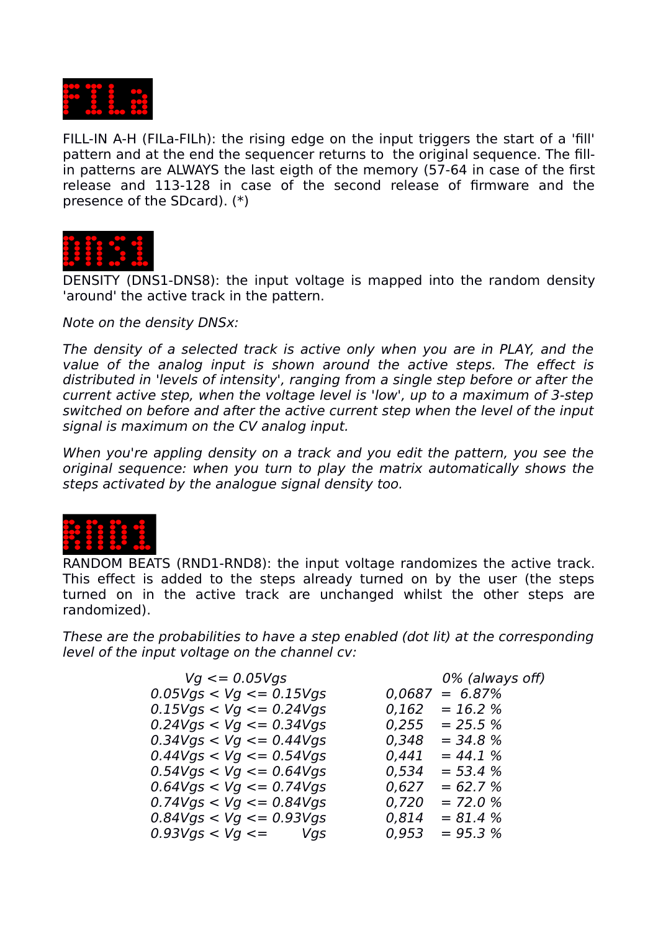

FILL-IN A-H (FILa-FILh): the rising edge on the input triggers the start of a 'fill' pattern and at the end the sequencer returns to the original sequence. The fillin patterns are ALWAYS the last eigth of the memory (57-64 in case of the first release and 113-128 in case of the second release of firmware and the presence of the SDcard). (\*)



DENSITY (DNS1-DNS8): the input voltage is mapped into the random density 'around' the active track in the pattern.

Note on the density DNSx:

The density of a selected track is active only when you are in PLAY, and the value of the analog input is shown around the active steps. The effect is distributed in 'levels of intensity', ranging from a single step before or after the current active step, when the voltage level is 'low', up to a maximum of 3-step switched on before and after the active current step when the level of the input signal is maximum on the CV analog input.

When you're appling density on a track and you edit the pattern, you see the original sequence: when you turn to play the matrix automatically shows the steps activated by the analogue signal density too.



RANDOM BEATS (RND1-RND8): the input voltage randomizes the active track. This effect is added to the steps already turned on by the user (the steps turned on in the active track are unchanged whilst the other steps are randomized).

These are the probabilities to have a step enabled (dot lit) at the corresponding level of the input voltage on the channel cv:

| $Vq \leq 0.05Vqs$              |        | 0% (always off) |
|--------------------------------|--------|-----------------|
| $0.05V$ gs < Vg <= 0.15Vgs     | 0,0687 | $= 6.87\%$      |
| $0.15V$ gs $<$ Vg $<=$ 0.24Vgs | 0,162  | $= 16.2 %$      |
| $0.24V$ gs < Vg <= 0.34Vgs     | 0,255  | $= 25.5 %$      |
| $0.34V$ gs < Vg <= 0.44Vgs     | 0,348  | $= 34.8 %$      |
| $0.44V$ gs $<$ Vg $<=$ 0.54Vgs | 0,441  | $= 44.1 %$      |
| $0.54V$ gs < Vg <= 0.64Vgs     | 0,534  | $= 53.4 %$      |
| $0.64V$ gs < Vg <= 0.74Vgs     | 0,627  | $= 62.7 %$      |
| $0.74V$ gs $< Vg <= 0.84V$ gs  | 0,720  | $= 72.0 %$      |
| $0.84V$ gs < Vg <= 0.93Vgs     | 0,814  | $= 81.4 %$      |
| $0.93V$ gs < $Vg$ <= $Vgs$     | 0,953  | $= 95.3 %$      |
|                                |        |                 |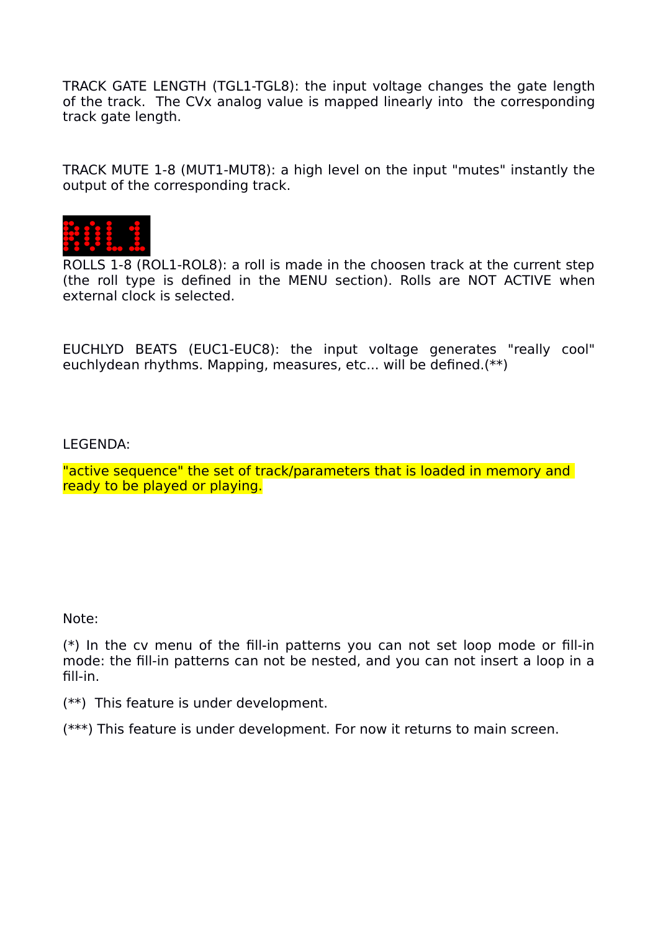TRACK GATE LENGTH (TGL1-TGL8): the input voltage changes the gate length of the track. The CVx analog value is mapped linearly into the corresponding track gate length.

TRACK MUTE 1-8 (MUT1-MUT8): a high level on the input "mutes" instantly the output of the corresponding track.



ROLLS 1-8 (ROL1-ROL8): a roll is made in the choosen track at the current step (the roll type is defined in the MENU section). Rolls are NOT ACTIVE when external clock is selected.

EUCHLYD BEATS (EUC1-EUC8): the input voltage generates "really cool" euchlydean rhythms. Mapping, measures, etc... will be defined.(\*\*)

LEGENDA:

"active sequence" the set of track/parameters that is loaded in memory and ready to be played or playing.

Note:

(\*) In the cv menu of the fill-in patterns you can not set loop mode or fill-in mode: the fill-in patterns can not be nested, and you can not insert a loop in a fill-in.

(\*\*) This feature is under development.

(\*\*\*) This feature is under development. For now it returns to main screen.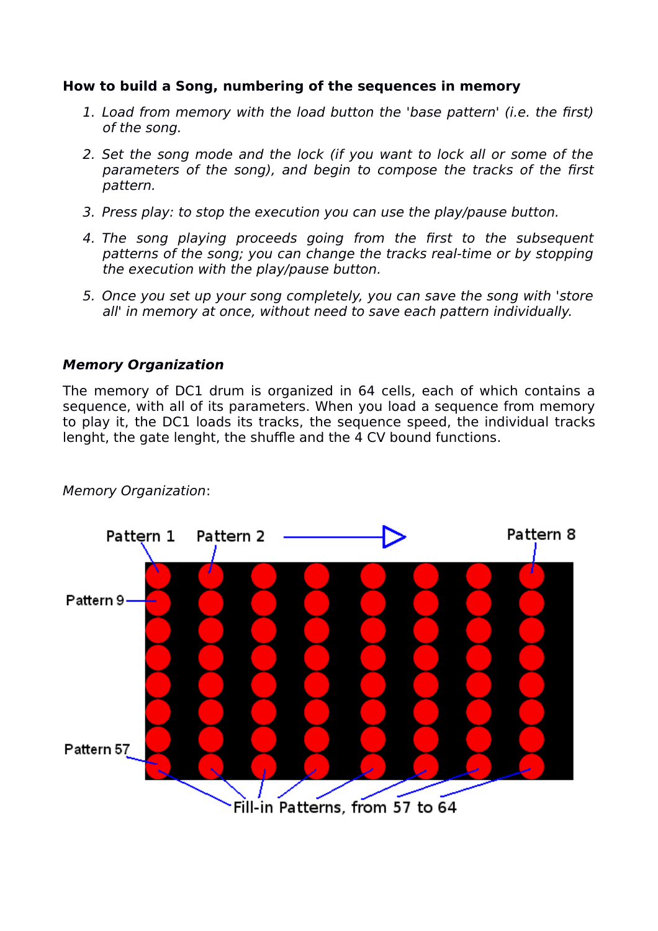#### **How to build a Song, numbering of the sequences in memory**

- 1. Load from memory with the load button the 'base pattern' (i.e. the first) of the song.
- 2. Set the song mode and the lock (if you want to lock all or some of the parameters of the song), and begin to compose the tracks of the first pattern.
- 3. Press play: to stop the execution you can use the play/pause button.
- 4. The song playing proceeds going from the first to the subsequent patterns of the song; you can change the tracks real-time or by stopping the execution with the play/pause button.
- 5. Once you set up your song completely, you can save the song with 'store all' in memory at once, without need to save each pattern individually.

#### **Memory Organization**

The memory of DC1 drum is organized in 64 cells, each of which contains a sequence, with all of its parameters. When you load a sequence from memory to play it, the DC1 loads its tracks, the sequence speed, the individual tracks lenght, the gate lenght, the shuffle and the 4 CV bound functions.



#### Memory Organization: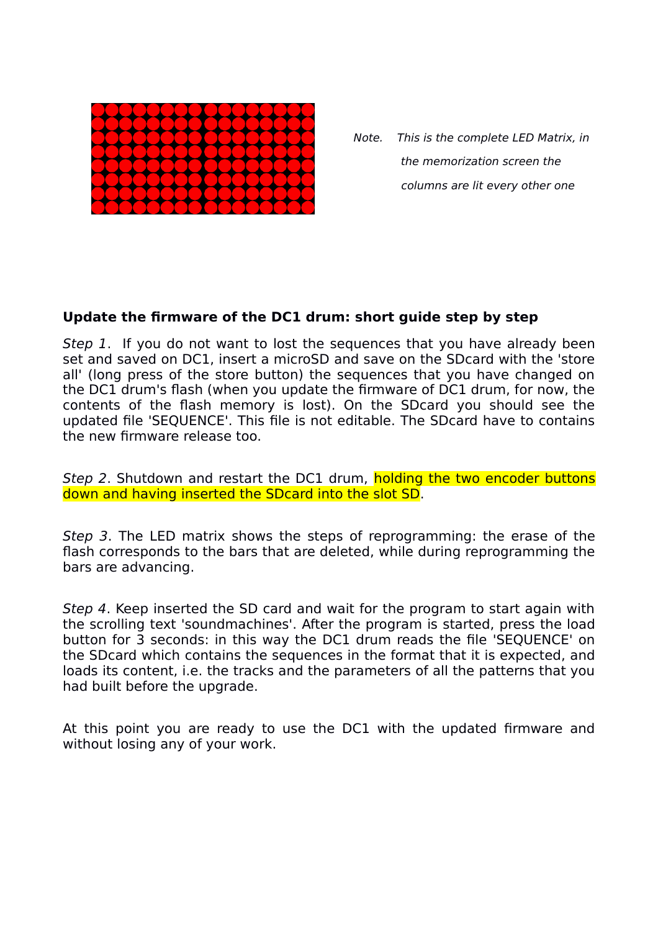

 Note. This is the complete LED Matrix, in the memorization screen the columns are lit every other one

#### **Update the firmware of the DC1 drum: short guide step by step**

Step 1. If you do not want to lost the sequences that you have already been set and saved on DC1, insert a microSD and save on the SDcard with the 'store all' (long press of the store button) the sequences that you have changed on the DC1 drum's flash (when you update the firmware of DC1 drum, for now, the contents of the flash memory is lost). On the SDcard you should see the updated file 'SEQUENCE'. This file is not editable. The SDcard have to contains the new firmware release too.

Step 2. Shutdown and restart the DC1 drum, holding the two encoder buttons down and having inserted the SDcard into the slot SD.

Step 3. The LED matrix shows the steps of reprogramming: the erase of the flash corresponds to the bars that are deleted, while during reprogramming the bars are advancing.

Step 4. Keep inserted the SD card and wait for the program to start again with the scrolling text 'soundmachines'. After the program is started, press the load button for 3 seconds: in this way the DC1 drum reads the file 'SEQUENCE' on the SDcard which contains the sequences in the format that it is expected, and loads its content, i.e. the tracks and the parameters of all the patterns that you had built before the upgrade.

At this point you are ready to use the DC1 with the updated firmware and without losing any of your work.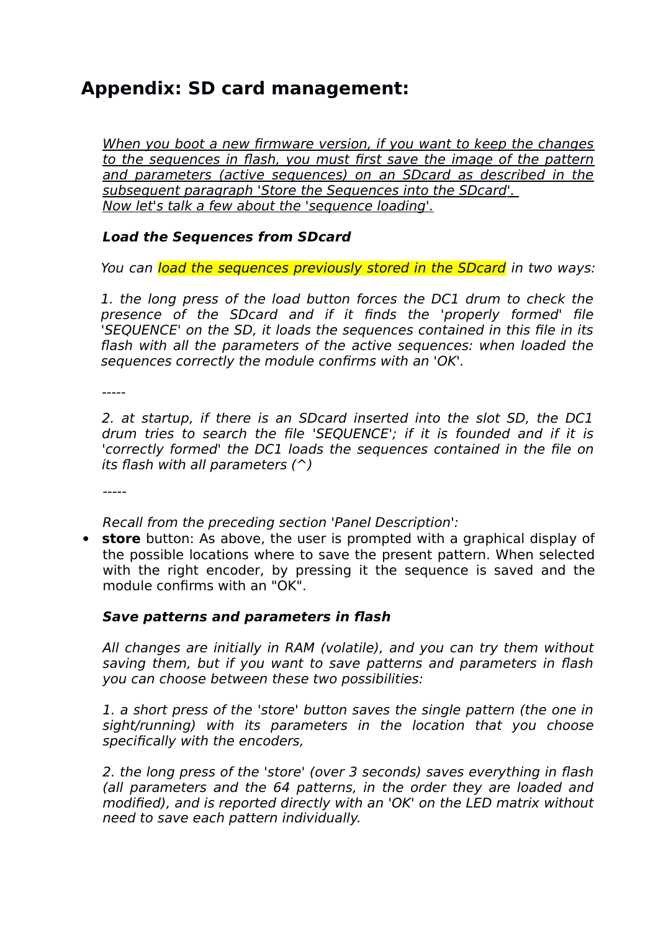### **Appendix: SD card management:**

When you boot a new firmware version, if you want to keep the changes to the sequences in flash, you must first save the image of the pattern and parameters (active sequences) on an SDcard as described in the subsequent paragraph 'Store the Sequences into the SDcard'. Now let's talk a few about the 'sequence loading'.

#### **Load the Sequences from SDcard**

You can load the sequences previously stored in the SDcard in two ways:

1. the long press of the load button forces the DC1 drum to check the presence of the SDcard and if it finds the 'properly formed' file 'SEQUENCE' on the SD, it loads the sequences contained in this file in its flash with all the parameters of the active sequences: when loaded the sequences correctly the module confirms with an 'OK'.

-----

2. at startup, if there is an SDcard inserted into the slot SD, the DC1 drum tries to search the file 'SEQUENCE'; if it is founded and if it is 'correctly formed' the DC1 loads the sequences contained in the file on its flash with all parameters  $(^{\wedge})$ 

-----

Recall from the preceding section 'Panel Description':

 **store** button: As above, the user is prompted with a graphical display of the possible locations where to save the present pattern. When selected with the right encoder, by pressing it the sequence is saved and the module confirms with an "OK".

#### **Save patterns and parameters in flash**

All changes are initially in RAM (volatile), and you can try them without saving them, but if you want to save patterns and parameters in flash you can choose between these two possibilities:

1. a short press of the 'store' button saves the single pattern (the one in sight/running) with its parameters in the location that you choose specifically with the encoders,

2. the long press of the 'store' (over 3 seconds) saves everything in flash (all parameters and the 64 patterns, in the order they are loaded and modified), and is reported directly with an 'OK' on the LED matrix without need to save each pattern individually.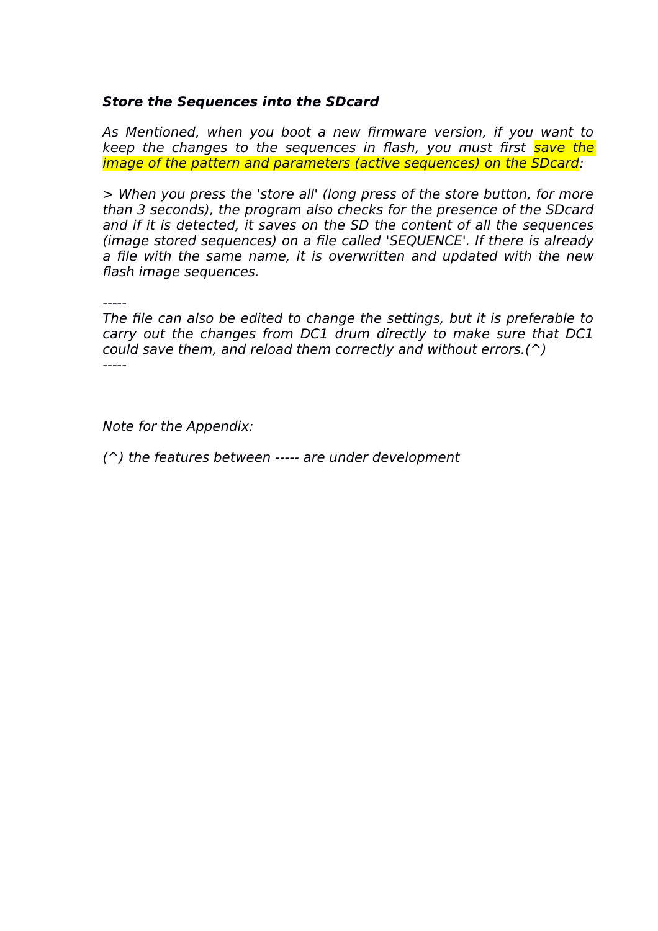#### **Store the Sequences into the SDcard**

As Mentioned, when you boot a new firmware version, if you want to keep the changes to the sequences in flash, you must first save the image of the pattern and parameters (active sequences) on the SDcard:

> When you press the 'store all' (long press of the store button, for more than 3 seconds), the program also checks for the presence of the SDcard and if it is detected, it saves on the SD the content of all the sequences (image stored sequences) on a file called 'SEQUENCE'. If there is already a file with the same name, it is overwritten and updated with the new flash image sequences.

The file can also be edited to change the settings, but it is preferable to carry out the changes from DC1 drum directly to make sure that DC1 could save them, and reload them correctly and without errors.( $\hat{ }$ ) -----

Note for the Appendix:

(^) the features between ----- are under development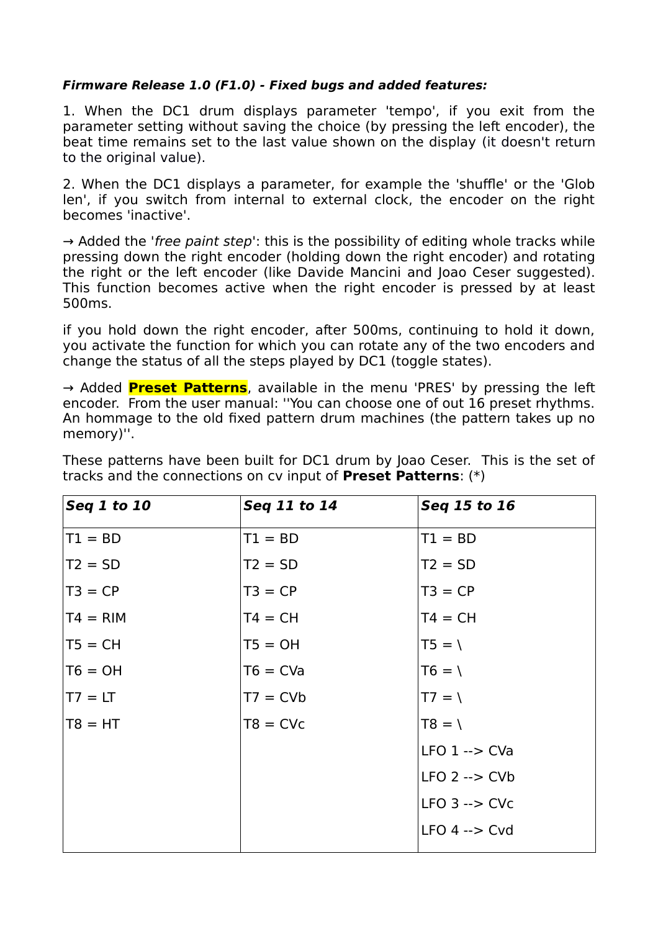#### **Firmware Release 1.0 (F1.0) - Fixed bugs and added features:**

1. When the DC1 drum displays parameter 'tempo', if you exit from the parameter setting without saving the choice (by pressing the left encoder), the beat time remains set to the last value shown on the display (it doesn't return to the original value).

2. When the DC1 displays a parameter, for example the 'shuffle' or the 'Glob len', if you switch from internal to external clock, the encoder on the right becomes 'inactive'.

 $\rightarrow$  Added the 'free paint step': this is the possibility of editing whole tracks while pressing down the right encoder (holding down the right encoder) and rotating the right or the left encoder (like Davide Mancini and Joao Ceser suggested). This function becomes active when the right encoder is pressed by at least 500ms.

if you hold down the right encoder, after 500ms, continuing to hold it down, you activate the function for which you can rotate any of the two encoders and change the status of all the steps played by DC1 (toggle states).

→ Added **Preset Patterns**, available in the menu 'PRES' by pressing the left encoder. From the user manual: ''You can choose one of out 16 preset rhythms. An hommage to the old fixed pattern drum machines (the pattern takes up no memory)''.

| Seq 1 to 10 | Seq 11 to 14 | Seq 15 to 16              |  |
|-------------|--------------|---------------------------|--|
| $TI = BD$   | $T1 = BD$    | $T1 = BD$                 |  |
| $T2 = SD$   | $T2 = SD$    | $T2 = SD$                 |  |
| $T3 = CP$   | $T3 = CP$    | $T3 = CP$                 |  |
| $TT4 = RIM$ | $T4 = CH$    | $T4 = CH$                 |  |
| $TS = CH$   | $T5 = OH$    | $T5 = \sqrt{ }$           |  |
| $T6 = OH$   | $T6 = CVa$   | $T6 = \sqrt{ }$           |  |
| $TT = LT$   | $T7 = CVb$   | $T7 = \sqrt{ }$           |  |
| $TS = HT$   | $T8 = CVc$   | $T8 = 1$                  |  |
|             |              | $LFO$ 1 --> $CVa$         |  |
|             |              | $LFO$ 2 --> $CVD$         |  |
|             |              | $LFO$ 3 $\rightarrow$ CVc |  |
|             |              | $LFO 4 \rightarrow Cvd$   |  |
|             |              |                           |  |

These patterns have been built for DC1 drum by Joao Ceser. This is the set of tracks and the connections on cv input of **Preset Patterns**: (\*)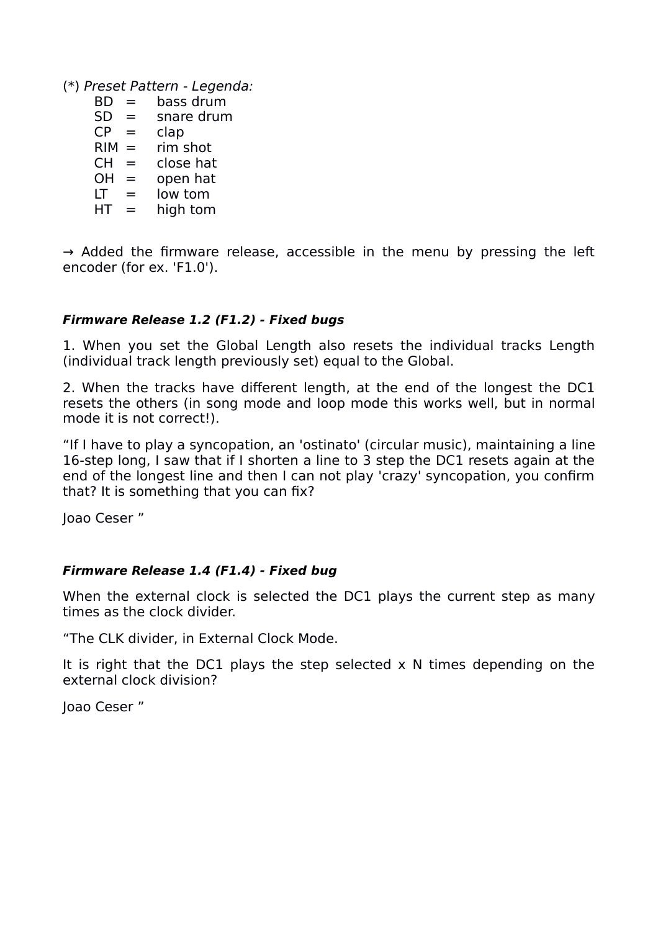(\*) Preset Pattern - Legenda:

- $BD = \text{bass}$  drum
- $SD =$  snare drum
- $CP = clap$
- $RIM = rim shot$
- $CH = \text{close hat}$ <br> $OH = \text{open hat}$
- open hat
- $LT =$  low tom
- $HT = high tom$

 $\rightarrow$  Added the firmware release, accessible in the menu by pressing the left encoder (for ex. 'F1.0').

#### **Firmware Release 1.2 (F1.2) - Fixed bugs**

1. When you set the Global Length also resets the individual tracks Length (individual track length previously set) equal to the Global.

2. When the tracks have different length, at the end of the longest the DC1 resets the others (in song mode and loop mode this works well, but in normal mode it is not correct!).

"If I have to play a syncopation, an 'ostinato' (circular music), maintaining a line 16-step long, I saw that if I shorten a line to 3 step the DC1 resets again at the end of the longest line and then I can not play 'crazy' syncopation, you confirm that? It is something that you can fix?

Joao Ceser "

#### **Firmware Release 1.4 (F1.4) - Fixed bug**

When the external clock is selected the DC1 plays the current step as many times as the clock divider.

"The CLK divider, in External Clock Mode.

It is right that the DC1 plays the step selected  $x$  N times depending on the external clock division?

Joao Ceser "